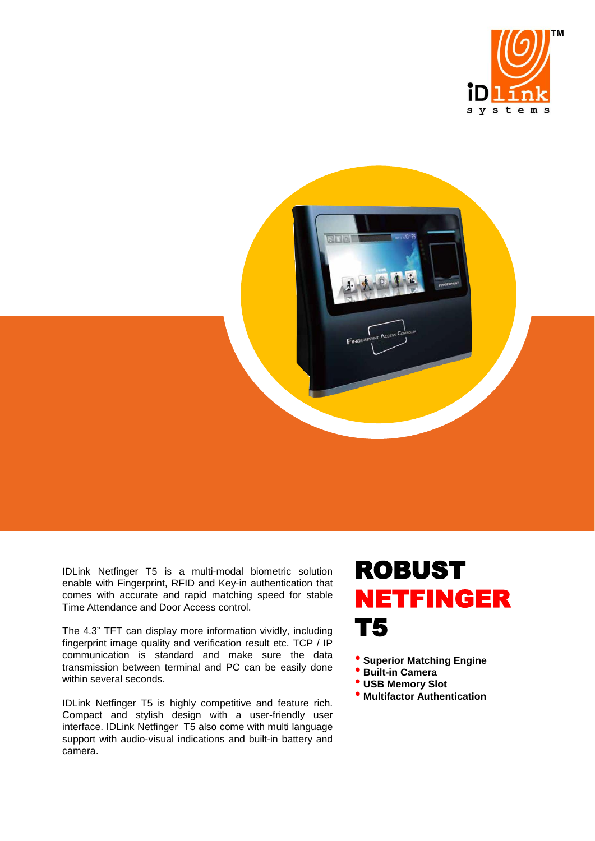



IDLink Netfinger T5 is a multi-modal biometric solution enable with Fingerprint, RFID and Key-in authentication that comes with accurate and rapid matching speed for stable Time Attendance and Door Access control.

The 4.3" TFT can display more information vividly, including fingerprint image quality and verification result etc. TCP / IP communication is standard and make sure the data transmission between terminal and PC can be easily done within several seconds.

IDLink Netfinger T5 is highly competitive and feature rich. Compact and stylish design with a user-friendly user interface. IDLink Netfinger T5 also come with multi language support with audio-visual indications and built-in battery and camera.

## ROBUST NETFINGER T5

• **Superior Matching Engine**

- **Built-in Camera**
- **USB Memory Slot**
- **Multifactor Authentication**